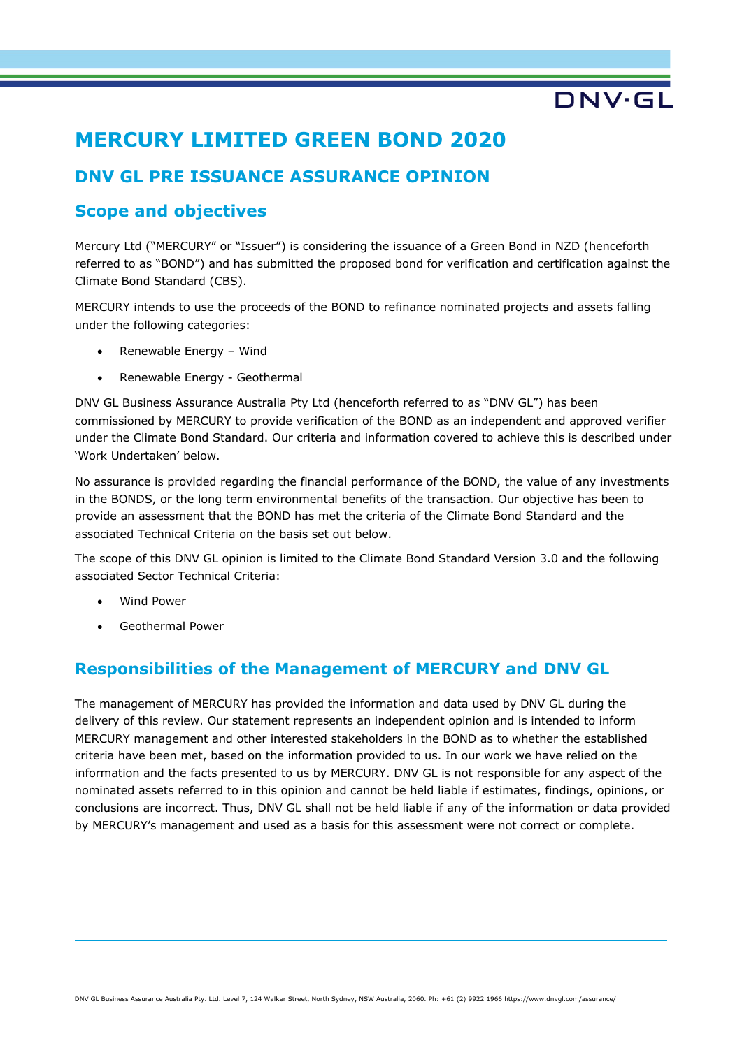# **MERCURY LIMITED GREEN BOND 2020**

## **DNV GL PRE ISSUANCE ASSURANCE OPINION**

## **Scope and objectives**

Mercury Ltd ("MERCURY" or "Issuer") is considering the issuance of a Green Bond in NZD (henceforth referred to as "BOND") and has submitted the proposed bond for verification and certification against the Climate Bond Standard (CBS).

DNV.GL

MERCURY intends to use the proceeds of the BOND to refinance nominated projects and assets falling under the following categories:

- Renewable Energy Wind
- Renewable Energy Geothermal

DNV GL Business Assurance Australia Pty Ltd (henceforth referred to as "DNV GL") has been commissioned by MERCURY to provide verification of the BOND as an independent and approved verifier under the Climate Bond Standard. Our criteria and information covered to achieve this is described under 'Work Undertaken' below.

No assurance is provided regarding the financial performance of the BOND, the value of any investments in the BONDS, or the long term environmental benefits of the transaction. Our objective has been to provide an assessment that the BOND has met the criteria of the Climate Bond Standard and the associated Technical Criteria on the basis set out below.

The scope of this DNV GL opinion is limited to the Climate Bond Standard Version 3.0 and the following associated Sector Technical Criteria:

- Wind Power
- Geothermal Power

## **Responsibilities of the Management of MERCURY and DNV GL**

The management of MERCURY has provided the information and data used by DNV GL during the delivery of this review. Our statement represents an independent opinion and is intended to inform MERCURY management and other interested stakeholders in the BOND as to whether the established criteria have been met, based on the information provided to us. In our work we have relied on the information and the facts presented to us by MERCURY. DNV GL is not responsible for any aspect of the nominated assets referred to in this opinion and cannot be held liable if estimates, findings, opinions, or conclusions are incorrect. Thus, DNV GL shall not be held liable if any of the information or data provided by MERCURY's management and used as a basis for this assessment were not correct or complete.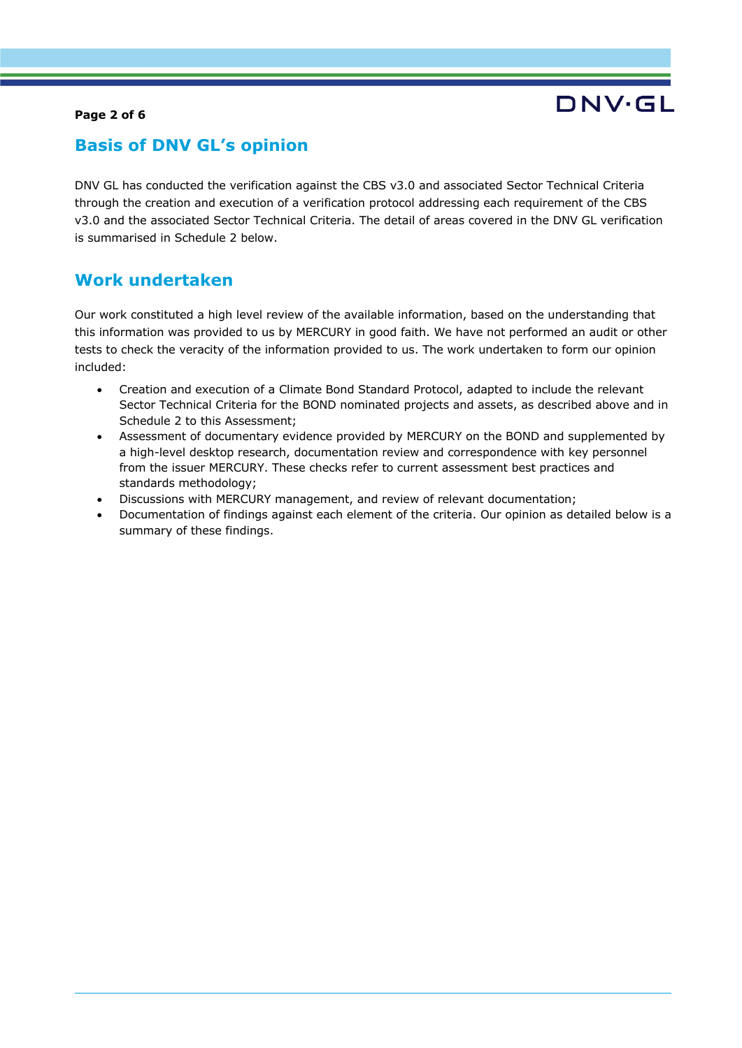### **Page 2 of 6**

# DNV.GI

## **Basis of DNV GL's opinion**

DNV GL has conducted the verification against the CBS v3.0 and associated Sector Technical Criteria through the creation and execution of a verification protocol addressing each requirement of the CBS v3.0 and the associated Sector Technical Criteria. The detail of areas covered in the DNV GL verification is summarised in Schedule 2 below.

### **Work undertaken**

Our work constituted a high level review of the available information, based on the understanding that this information was provided to us by MERCURY in good faith. We have not performed an audit or other tests to check the veracity of the information provided to us. The work undertaken to form our opinion included:

- Creation and execution of a Climate Bond Standard Protocol, adapted to include the relevant Sector Technical Criteria for the BOND nominated projects and assets, as described above and in Schedule 2 to this Assessment;
- Assessment of documentary evidence provided by MERCURY on the BOND and supplemented by a high-level desktop research, documentation review and correspondence with key personnel from the issuer MERCURY. These checks refer to current assessment best practices and standards methodology;
- Discussions with MERCURY management, and review of relevant documentation;
- Documentation of findings against each element of the criteria. Our opinion as detailed below is a summary of these findings.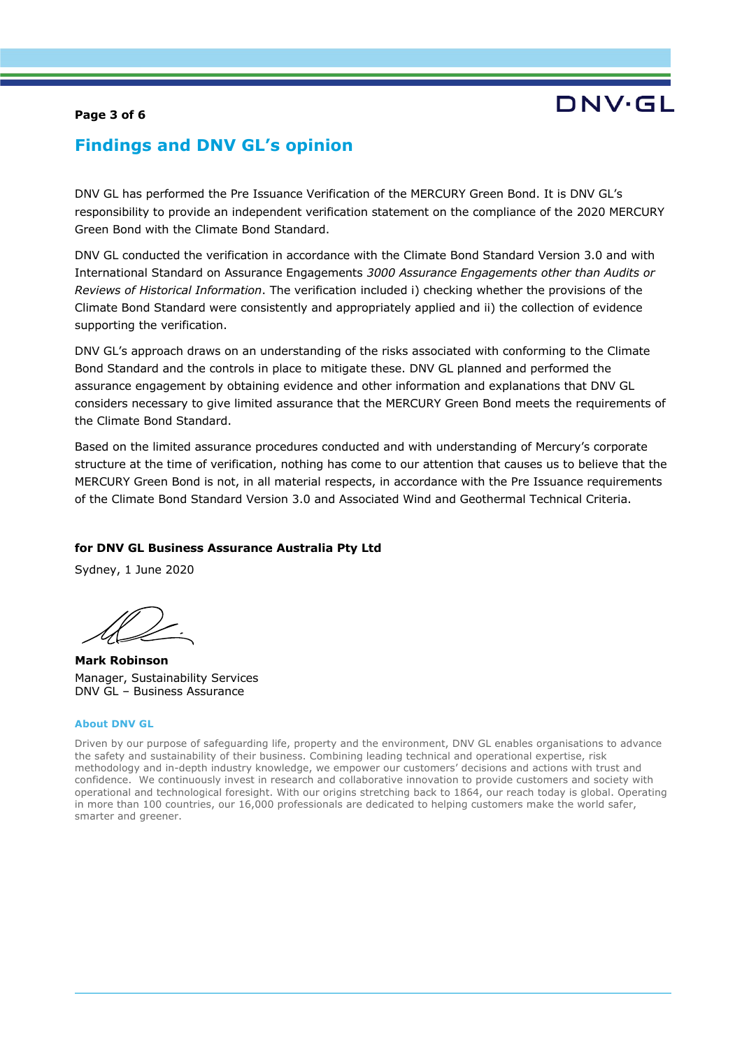### **Page 3 of 6**

# DNV.GI

## **Findings and DNV GL's opinion**

DNV GL has performed the Pre Issuance Verification of the MERCURY Green Bond. It is DNV GL's responsibility to provide an independent verification statement on the compliance of the 2020 MERCURY Green Bond with the Climate Bond Standard.

DNV GL conducted the verification in accordance with the Climate Bond Standard Version 3.0 and with International Standard on Assurance Engagements *3000 Assurance Engagements other than Audits or Reviews of Historical Information*. The verification included i) checking whether the provisions of the Climate Bond Standard were consistently and appropriately applied and ii) the collection of evidence supporting the verification.

DNV GL's approach draws on an understanding of the risks associated with conforming to the Climate Bond Standard and the controls in place to mitigate these. DNV GL planned and performed the assurance engagement by obtaining evidence and other information and explanations that DNV GL considers necessary to give limited assurance that the MERCURY Green Bond meets the requirements of the Climate Bond Standard.

Based on the limited assurance procedures conducted and with understanding of Mercury's corporate structure at the time of verification, nothing has come to our attention that causes us to believe that the MERCURY Green Bond is not, in all material respects, in accordance with the Pre Issuance requirements of the Climate Bond Standard Version 3.0 and Associated Wind and Geothermal Technical Criteria.

#### **for DNV GL Business Assurance Australia Pty Ltd**

Sydney, 1 June 2020

**Mark Robinson** Manager, Sustainability Services DNV GL – Business Assurance

#### **About DNV GL**

Driven by our purpose of safeguarding life, property and the environment, DNV GL enables organisations to advance the safety and sustainability of their business. Combining leading technical and operational expertise, risk methodology and in-depth industry knowledge, we empower our customers' decisions and actions with trust and confidence. We continuously invest in research and collaborative innovation to provide customers and society with operational and technological foresight. With our origins stretching back to 1864, our reach today is global. Operating in more than 100 countries, our 16,000 professionals are dedicated to helping customers make the world safer, smarter and greener.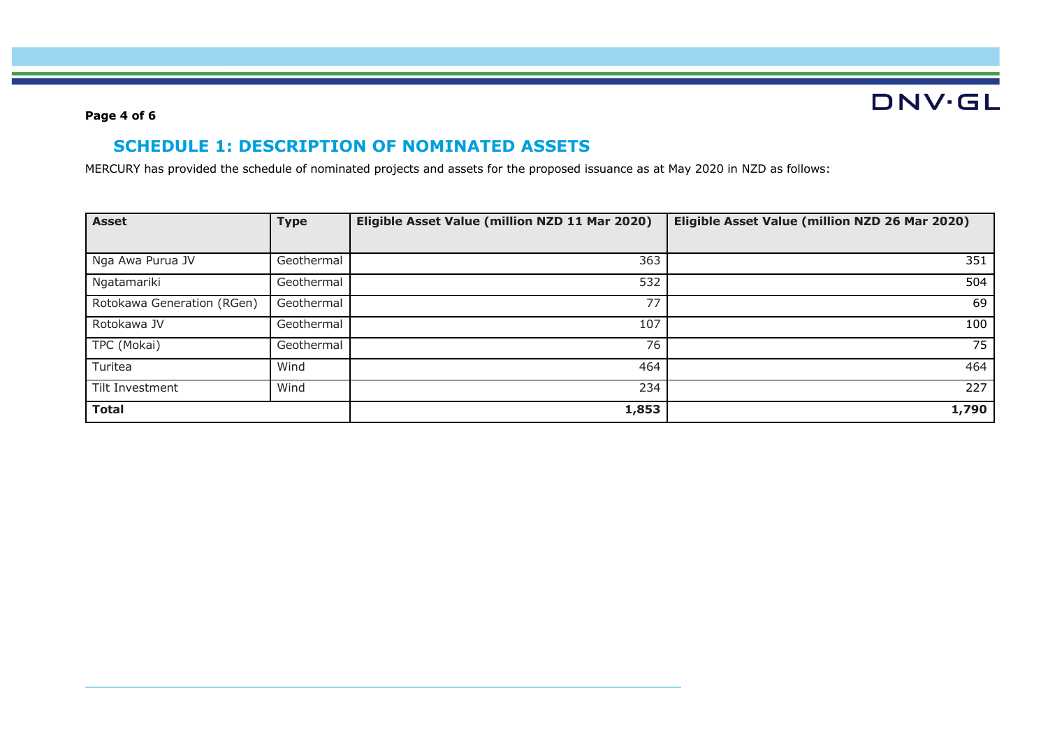# **DNV·GL**

### **Page 4 of 6**

## **SCHEDULE 1: DESCRIPTION OF NOMINATED ASSETS**

MERCURY has provided the schedule of nominated projects and assets for the proposed issuance as at May 2020 in NZD as follows:

| <b>Asset</b>               | <b>Type</b> | Eligible Asset Value (million NZD 11 Mar 2020) | Eligible Asset Value (million NZD 26 Mar 2020) |
|----------------------------|-------------|------------------------------------------------|------------------------------------------------|
|                            |             |                                                |                                                |
| Nga Awa Purua JV           | Geothermal  | 363                                            | 351                                            |
| Ngatamariki                | Geothermal  | 532                                            | 504                                            |
| Rotokawa Generation (RGen) | Geothermal  | 77                                             | 69                                             |
| Rotokawa JV                | Geothermal  | 107                                            | 100                                            |
| TPC (Mokai)                | Geothermal  | 76                                             | 75                                             |
| Turitea                    | Wind        | 464                                            | 464                                            |
| Tilt Investment            | Wind        | 234                                            | 227                                            |
| <b>Total</b>               |             | 1,853                                          | 1,790                                          |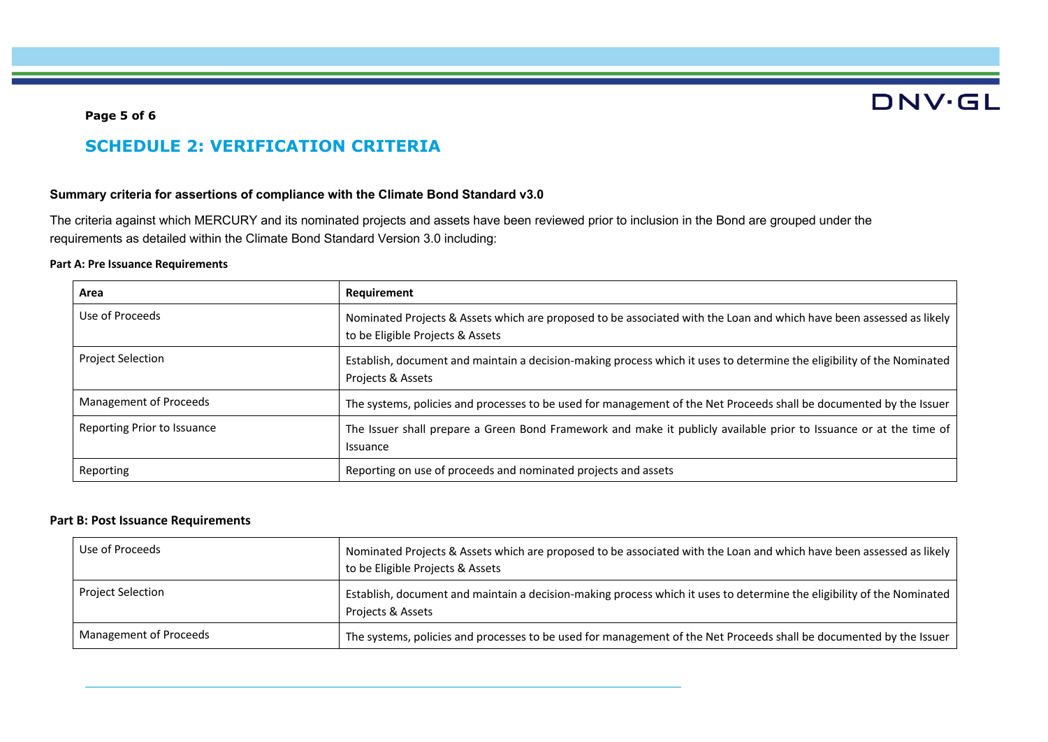# **DNV·GL**

### **Page 5 of 6**

## **SCHEDULE 2: VERIFICATION CRITERIA**

#### **Summary criteria for assertions of compliance with the Climate Bond Standard v3.0**

The criteria against which MERCURY and its nominated projects and assets have been reviewed prior to inclusion in the Bond are grouped under the requirements as detailed within the Climate Bond Standard Version 3.0 including:

#### **Part A: Pre Issuance Requirements**

| Area                        | <b>Requirement</b>                                                                                                                                       |
|-----------------------------|----------------------------------------------------------------------------------------------------------------------------------------------------------|
| Use of Proceeds             | Nominated Projects & Assets which are proposed to be associated with the Loan and which have been assessed as likely<br>to be Eligible Projects & Assets |
| <b>Project Selection</b>    | Establish, document and maintain a decision-making process which it uses to determine the eligibility of the Nominated<br>Projects & Assets              |
| Management of Proceeds      | The systems, policies and processes to be used for management of the Net Proceeds shall be documented by the Issuer                                      |
| Reporting Prior to Issuance | The Issuer shall prepare a Green Bond Framework and make it publicly available prior to Issuance or at the time of<br>Issuance                           |
| Reporting                   | Reporting on use of proceeds and nominated projects and assets                                                                                           |

### **Part B: Post Issuance Requirements**

| Use of Proceeds        | Nominated Projects & Assets which are proposed to be associated with the Loan and which have been assessed as likely<br>to be Eligible Projects & Assets |
|------------------------|----------------------------------------------------------------------------------------------------------------------------------------------------------|
| Project Selection      | Establish, document and maintain a decision-making process which it uses to determine the eligibility of the Nominated<br>Projects & Assets              |
| Management of Proceeds | The systems, policies and processes to be used for management of the Net Proceeds shall be documented by the Issuer                                      |